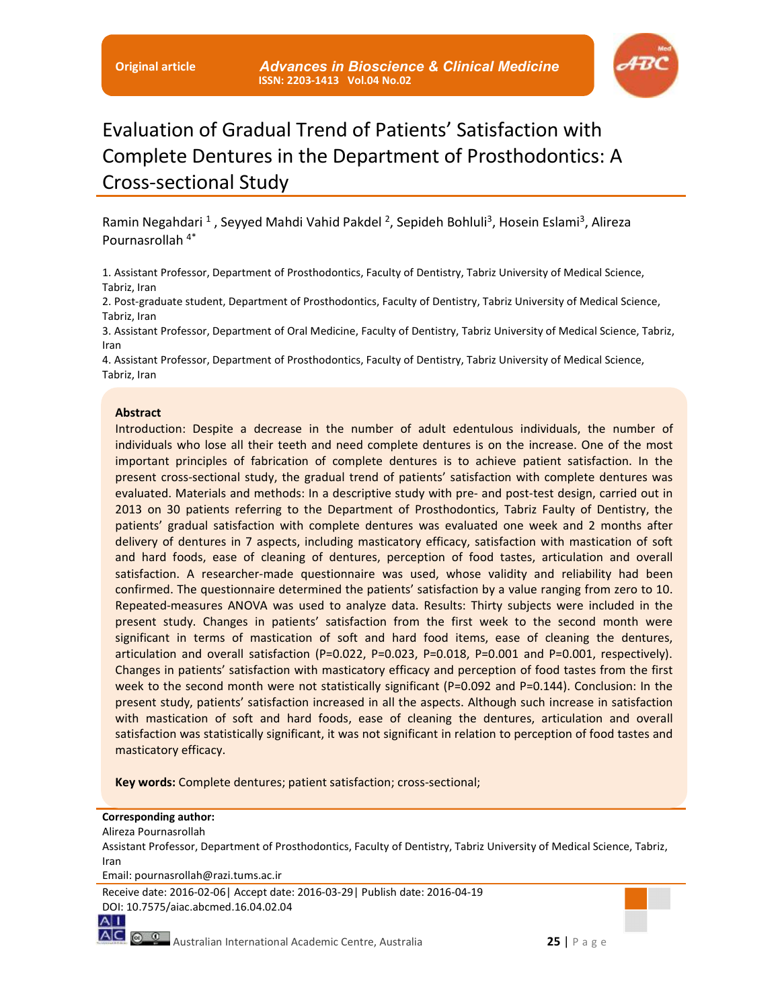

# Evaluation of Gradual Trend of Patients' Satisfaction with Complete Dentures in the Department of Prosthodontics: A Cross-sectional Study

Ramin Negahdari <sup>1</sup>, Seyyed Mahdi Vahid Pakdel <sup>2</sup>, Sepideh Bohluli<sup>3</sup>, Hosein Eslami<sup>3</sup>, Alireza Pournasrollah 4\*

1. Assistant Professor, Department of Prosthodontics, Faculty of Dentistry, Tabriz University of Medical Science, Tabriz, Iran

2. Post-graduate student, Department of Prosthodontics, Faculty of Dentistry, Tabriz University of Medical Science, Tabriz, Iran

3. Assistant Professor, Department of Oral Medicine, Faculty of Dentistry, Tabriz University of Medical Science, Tabriz, Iran

4. Assistant Professor, Department of Prosthodontics, Faculty of Dentistry, Tabriz University of Medical Science, Tabriz, Iran

#### **Abstract**

Introduction: Despite a decrease in the number of adult edentulous individuals, the number of individuals who lose all their teeth and need complete dentures is on the increase. One of the most important principles of fabrication of complete dentures is to achieve patient satisfaction. In the present cross-sectional study, the gradual trend of patients' satisfaction with complete dentures was evaluated. Materials and methods: In a descriptive study with pre- and post-test design, carried out in 2013 on 30 patients referring to the Department of Prosthodontics, Tabriz Faulty of Dentistry, the patients' gradual satisfaction with complete dentures was evaluated one week and 2 months after delivery of dentures in 7 aspects, including masticatory efficacy, satisfaction with mastication of soft and hard foods, ease of cleaning of dentures, perception of food tastes, articulation and overall satisfaction. A researcher-made questionnaire was used, whose validity and reliability had been confirmed. The questionnaire determined the patients' satisfaction by a value ranging from zero to 10. Repeated-measures ANOVA was used to analyze data. Results: Thirty subjects were included in the present study. Changes in patients' satisfaction from the first week to the second month were significant in terms of mastication of soft and hard food items, ease of cleaning the dentures, articulation and overall satisfaction (P=0.022, P=0.023, P=0.018, P=0.001 and P=0.001, respectively). Changes in patients' satisfaction with masticatory efficacy and perception of food tastes from the first week to the second month were not statistically significant (P=0.092 and P=0.144). Conclusion: In the present study, patients' satisfaction increased in all the aspects. Although such increase in satisfaction with mastication of soft and hard foods, ease of cleaning the dentures, articulation and overall satisfaction was statistically significant, it was not significant in relation to perception of food tastes and masticatory efficacy.

**Key words:** Complete dentures; patient satisfaction; cross-sectional;

#### **Corresponding author:**

#### Alireza Pournasrollah

 $A|1$ 

Assistant Professor, Department of Prosthodontics, Faculty of Dentistry, Tabriz University of Medical Science, Tabriz, Iran

Email: pournasrollah@razi.tums.ac.ir

Receive date: 2016-02-06| Accept date: 2016-03-29| Publish date: 2016-04-19 DOI: 10.7575/aiac.abcmed.16.04.02.04

AC  $\circ$  2 Australian International Academic Centre, Australia **25** | P a g e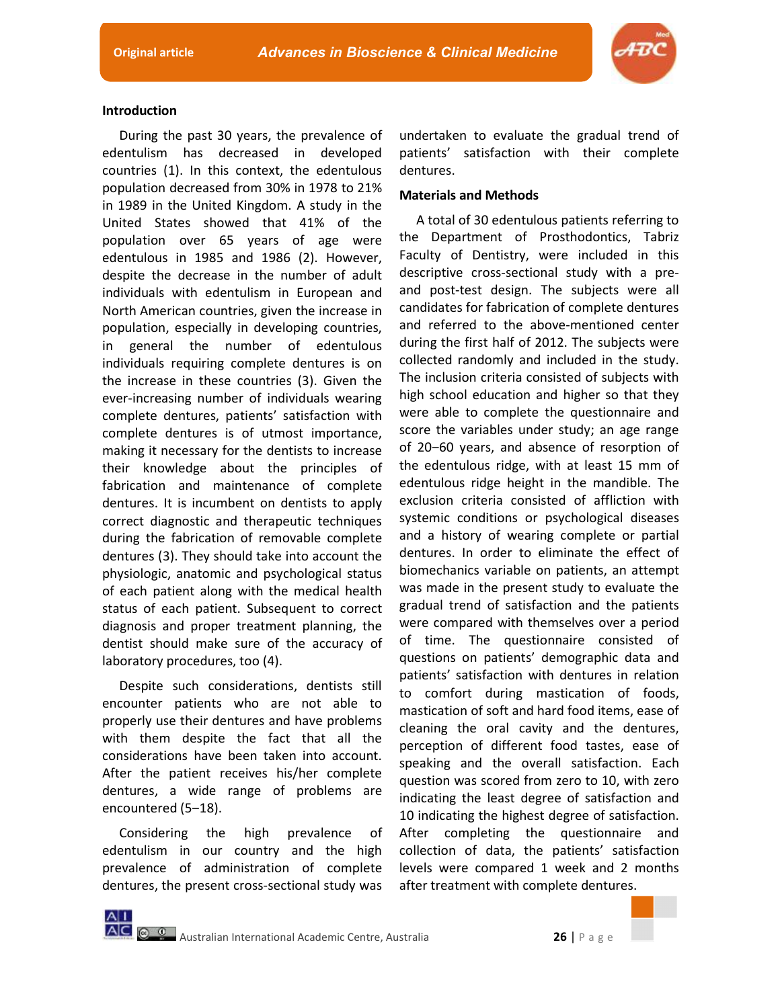

# **Introduction**

During the past 30 years, the prevalence of edentulism has decreased in developed countries (1). In this context, the edentulous population decreased from 30% in 1978 to 21% in 1989 in the United Kingdom. A study in the United States showed that 41% of the population over 65 years of age were edentulous in 1985 and 1986 (2). However, despite the decrease in the number of adult individuals with edentulism in European and North American countries, given the increase in population, especially in developing countries, in general the number of edentulous individuals requiring complete dentures is on the increase in these countries (3). Given the ever-increasing number of individuals wearing complete dentures, patients' satisfaction with complete dentures is of utmost importance, making it necessary for the dentists to increase their knowledge about the principles of fabrication and maintenance of complete dentures. It is incumbent on dentists to apply correct diagnostic and therapeutic techniques during the fabrication of removable complete dentures (3). They should take into account the physiologic, anatomic and psychological status of each patient along with the medical health status of each patient. Subsequent to correct diagnosis and proper treatment planning, the dentist should make sure of the accuracy of laboratory procedures, too (4).

Despite such considerations, dentists still encounter patients who are not able to properly use their dentures and have problems with them despite the fact that all the considerations have been taken into account. After the patient receives his/her complete dentures, a wide range of problems are encountered (5–18).

Considering the high prevalence of edentulism in our country and the high prevalence of administration of complete dentures, the present cross-sectional study was

 $A|1$ 

undertaken to evaluate the gradual trend of patients' satisfaction with their complete dentures.

# **Materials and Methods**

A total of 30 edentulous patients referring to the Department of Prosthodontics, Tabriz Faculty of Dentistry, were included in this descriptive cross-sectional study with a preand post-test design. The subjects were all candidates for fabrication of complete dentures and referred to the above-mentioned center during the first half of 2012. The subjects were collected randomly and included in the study. The inclusion criteria consisted of subjects with high school education and higher so that they were able to complete the questionnaire and score the variables under study; an age range of 20-60 years, and absence of resorption of the edentulous ridge, with at least 15 mm of edentulous ridge height in the mandible. The exclusion criteria consisted of affliction with systemic conditions or psychological diseases and a history of wearing complete or partial dentures. In order to eliminate the effect of biomechanics variable on patients, an attempt was made in the present study to evaluate the gradual trend of satisfaction and the patients were compared with themselves over a period of time. The questionnaire consisted of questions on patients' demographic data and patients' satisfaction with dentures in relation to comfort during mastication of foods, mastication of soft and hard food items, ease of cleaning the oral cavity and the dentures, perception of different food tastes, ease of speaking and the overall satisfaction. Each question was scored from zero to 10, with zero indicating the least degree of satisfaction and 10 indicating the highest degree of satisfaction. After completing the questionnaire and collection of data, the patients' satisfaction levels were compared 1 week and 2 months after treatment with complete dentures.

**AC @ @** Australian International Academic Centre, Australia **26 26 26 26 26**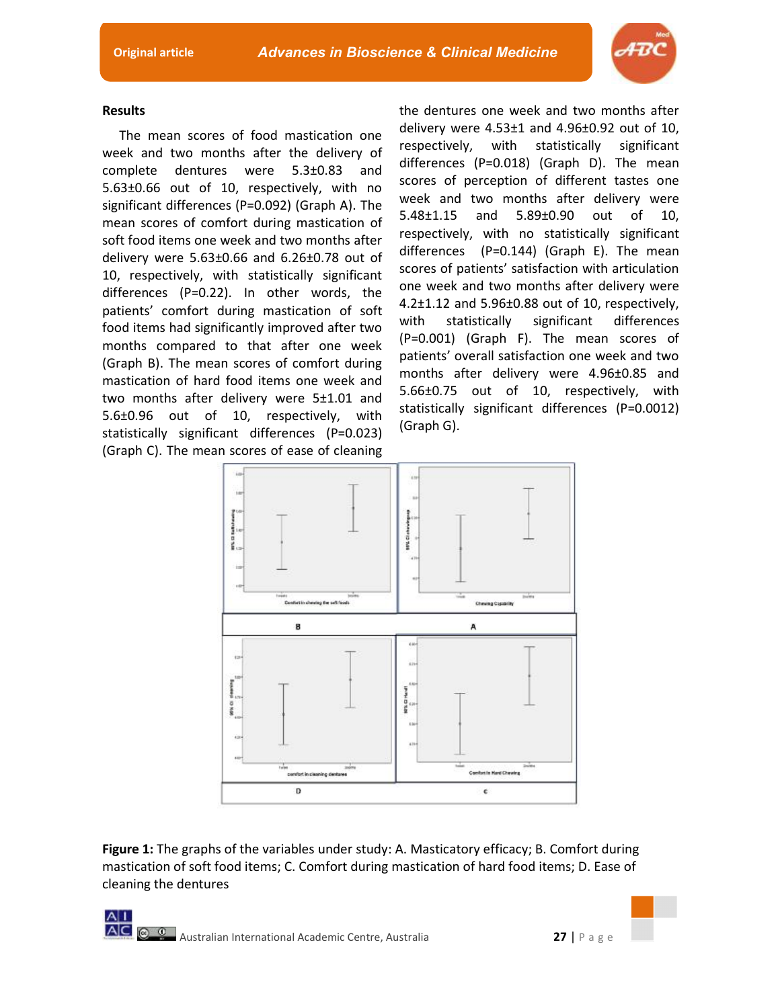

# **Results**

The mean scores of food mastication one week and two months after the delivery of complete dentures were 5.3±0.83 and 5.63±0.66 out of 10, respectively, with no significant differences (P=0.092) (Graph A). The mean scores of comfort during mastication of soft food items one week and two months after delivery were 5.63±0.66 and 6.26±0.78 out of 10, respectively, with statistically significant differences (P=0.22). In other words, the patients' comfort during mastication of soft food items had significantly improved after two months compared to that after one week (Graph B). The mean scores of comfort during mastication of hard food items one week and two months after delivery were 5±1.01 and 5.6±0.96 out of 10, respectively, with statistically significant differences (P=0.023) (Graph C). The mean scores of ease of cleaning the dentures one week and two months after delivery were 4.53±1 and 4.96±0.92 out of 10, respectively, with statistically significant differences (P=0.018) (Graph D). The mean scores of perception of different tastes one week and two months after delivery were 5.48±1.15 and 5.89±0.90 out of 10, respectively, with no statistically significant differences (P=0.144) (Graph E). The mean scores of patients' satisfaction with articulation one week and two months after delivery were 4.2±1.12 and 5.96±0.88 out of 10, respectively, with statistically significant differences (P=0.001) (Graph F). The mean scores of patients' overall satisfaction one week and two months after delivery were 4.96±0.85 and 5.66±0.75 out of 10, respectively, with statistically significant differences (P=0.0012) (Graph G).



**Figure 1:** The graphs of the variables under study: A. Masticatory efficacy; B. Comfort during mastication of soft food items; C. Comfort during mastication of hard food items; D. Ease of cleaning the dentures

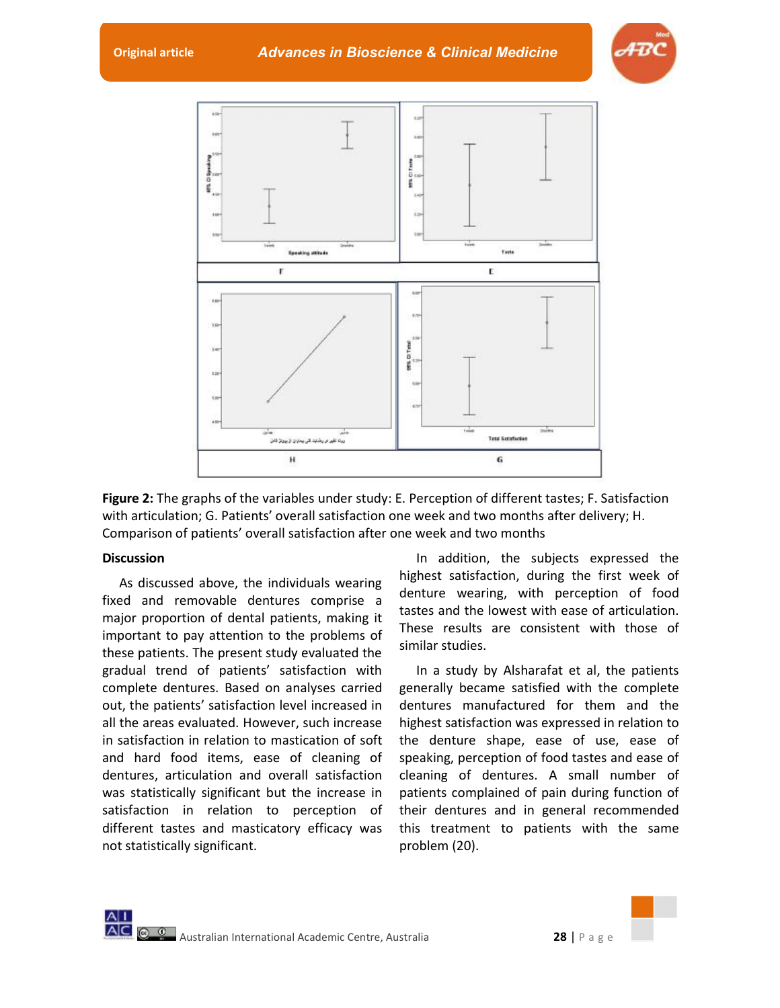**Original article** *Advances in Bioscience & Clinical Medicine* 





**Figure 2:** The graphs of the variables under study: E. Perception of different tastes; F. Satisfaction with articulation; G. Patients' overall satisfaction one week and two months after delivery; H. Comparison of patients' overall satisfaction after one week and two months

# **Discussion**

As discussed above, the individuals wearing fixed and removable dentures comprise a major proportion of dental patients, making it important to pay attention to the problems of these patients. The present study evaluated the gradual trend of patients' satisfaction with complete dentures. Based on analyses carried out, the patients' satisfaction level increased in all the areas evaluated. However, such increase in satisfaction in relation to mastication of soft and hard food items, ease of cleaning of dentures, articulation and overall satisfaction was statistically significant but the increase in satisfaction in relation to perception of different tastes and masticatory efficacy was not statistically significant.

In addition, the subjects expressed the highest satisfaction, during the first week of denture wearing, with perception of food tastes and the lowest with ease of articulation. These results are consistent with those of similar studies.

In a study by Alsharafat et al, the patients generally became satisfied with the complete dentures manufactured for them and the highest satisfaction was expressed in relation to the denture shape, ease of use, ease of speaking, perception of food tastes and ease of cleaning of dentures. A small number of patients complained of pain during function of their dentures and in general recommended this treatment to patients with the same problem (20).

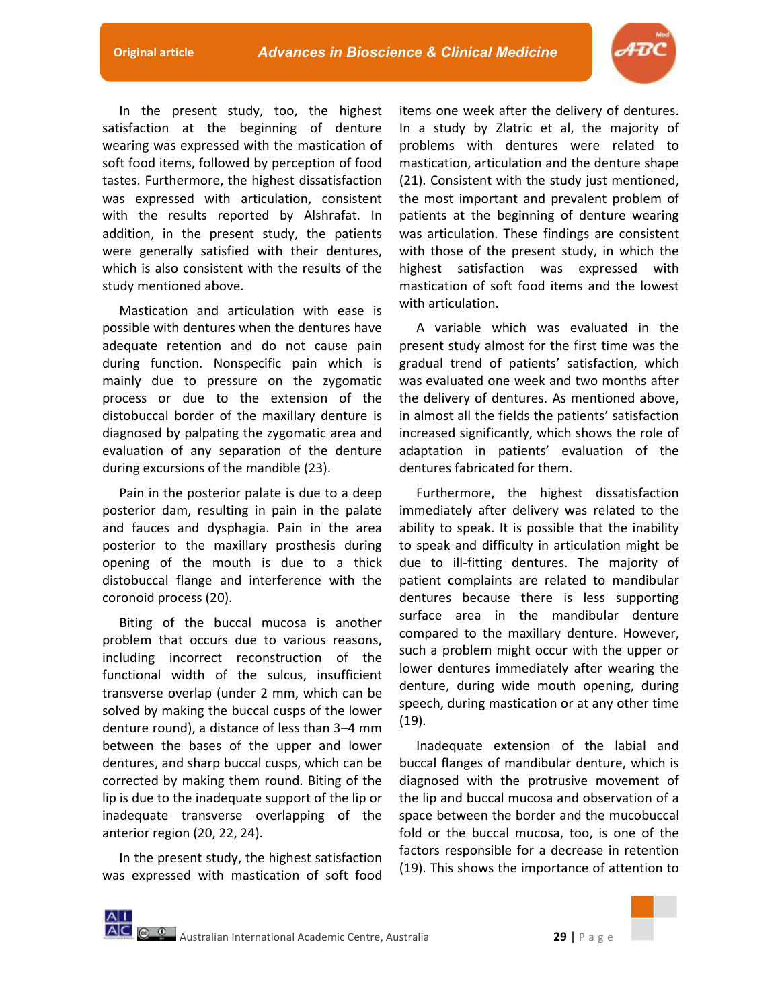

In the present study, too, the highest satisfaction at the beginning of denture wearing was expressed with the mastication of soft food items, followed by perception of food tastes. Furthermore, the highest dissatisfaction was expressed with articulation, consistent with the results reported by Alshrafat. In addition, in the present study, the patients were generally satisfied with their dentures, which is also consistent with the results of the study mentioned above.

Mastication and articulation with ease is possible with dentures when the dentures have adequate retention and do not cause pain during function. Nonspecific pain which is mainly due to pressure on the zygomatic process or due to the extension of the distobuccal border of the maxillary denture is diagnosed by palpating the zygomatic area and evaluation of any separation of the denture during excursions of the mandible (23).

Pain in the posterior palate is due to a deep posterior dam, resulting in pain in the palate and fauces and dysphagia. Pain in the area posterior to the maxillary prosthesis during opening of the mouth is due to a thick distobuccal flange and interference with the coronoid process (20).

Biting of the buccal mucosa is another problem that occurs due to various reasons, including incorrect reconstruction of the functional width of the sulcus, insufficient transverse overlap (under 2 mm, which can be solved by making the buccal cusps of the lower denture round), a distance of less than 3-4 mm between the bases of the upper and lower dentures, and sharp buccal cusps, which can be corrected by making them round. Biting of the lip is due to the inadequate support of the lip or inadequate transverse overlapping of the anterior region (20, 22, 24).

In the present study, the highest satisfaction was expressed with mastication of soft food

items one week after the delivery of dentures. In a study by Zlatric et al, the majority of problems with dentures were related to mastication, articulation and the denture shape (21). Consistent with the study just mentioned, the most important and prevalent problem of patients at the beginning of denture wearing was articulation. These findings are consistent with those of the present study, in which the highest satisfaction was expressed with mastication of soft food items and the lowest with articulation.

A variable which was evaluated in the present study almost for the first time was the gradual trend of patients' satisfaction, which was evaluated one week and two months after the delivery of dentures. As mentioned above, in almost all the fields the patients' satisfaction increased significantly, which shows the role of adaptation in patients' evaluation of the dentures fabricated for them.

Furthermore, the highest dissatisfaction immediately after delivery was related to the ability to speak. It is possible that the inability to speak and difficulty in articulation might be due to ill-fitting dentures. The majority of patient complaints are related to mandibular dentures because there is less supporting surface area in the mandibular denture compared to the maxillary denture. However, such a problem might occur with the upper or lower dentures immediately after wearing the denture, during wide mouth opening, during speech, during mastication or at any other time (19).

Inadequate extension of the labial and buccal flanges of mandibular denture, which is diagnosed with the protrusive movement of the lip and buccal mucosa and observation of a space between the border and the mucobuccal fold or the buccal mucosa, too, is one of the factors responsible for a decrease in retention (19). This shows the importance of attention to

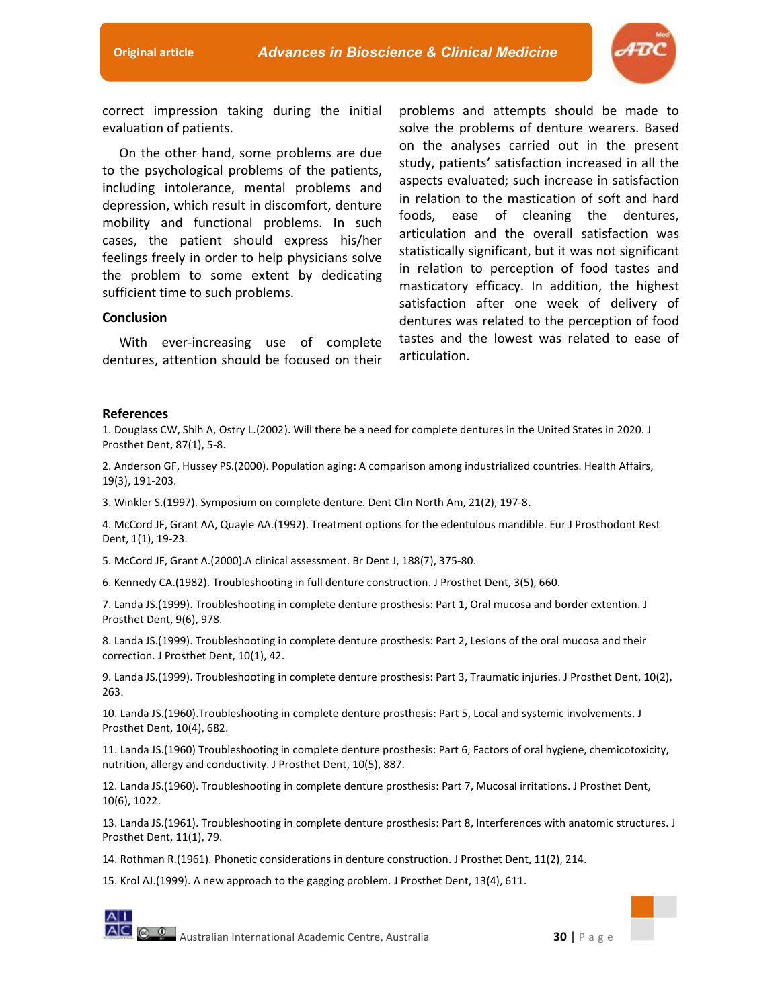

correct impression taking during the initial evaluation of patients.

On the other hand, some problems are due to the psychological problems of the patients, including intolerance, mental problems and depression, which result in discomfort, denture mobility and functional problems. In such cases, the patient should express his/her feelings freely in order to help physicians solve the problem to some extent by dedicating sufficient time to such problems.

#### **Conclusion**

With ever-increasing use of complete dentures, attention should be focused on their

problems and attempts should be made to solve the problems of denture wearers. Based on the analyses carried out in the present study, patients' satisfaction increased in all the aspects evaluated; such increase in satisfaction in relation to the mastication of soft and hard foods, ease of cleaning the dentures, articulation and the overall satisfaction was statistically significant, but it was not significant in relation to perception of food tastes and masticatory efficacy. In addition, the highest satisfaction after one week of delivery of dentures was related to the perception of food tastes and the lowest was related to ease of articulation.

### **References**

1. Douglass CW, Shih A, Ostry L.(2002). Will there be a need for complete dentures in the United States in 2020. J Prosthet Dent, 87(1), 5-8.

2. Anderson GF, Hussey PS.(2000). Population aging: A comparison among industrialized countries. Health Affairs, 19(3), 191-203.

3. Winkler S.(1997). Symposium on complete denture. Dent Clin North Am, 21(2), 197-8.

4. McCord JF, Grant AA, Quayle AA.(1992). Treatment options for the edentulous mandible. Eur J Prosthodont Rest Dent, 1(1), 19-23.

5. McCord JF, Grant A.(2000).A clinical assessment. Br Dent J, 188(7), 375-80.

6. Kennedy CA.(1982). Troubleshooting in full denture construction. J Prosthet Dent, 3(5), 660.

7. Landa JS.(1999). Troubleshooting in complete denture prosthesis: Part 1, Oral mucosa and border extention. J Prosthet Dent, 9(6), 978.

8. Landa JS.(1999). Troubleshooting in complete denture prosthesis: Part 2, Lesions of the oral mucosa and their correction. J Prosthet Dent, 10(1), 42.

9. Landa JS.(1999). Troubleshooting in complete denture prosthesis: Part 3, Traumatic injuries. J Prosthet Dent, 10(2), 263.

10. Landa JS.(1960).Troubleshooting in complete denture prosthesis: Part 5, Local and systemic involvements. J Prosthet Dent, 10(4), 682.

11. Landa JS.(1960) Troubleshooting in complete denture prosthesis: Part 6, Factors of oral hygiene, chemicotoxicity, nutrition, allergy and conductivity. J Prosthet Dent, 10(5), 887.

12. Landa JS.(1960). Troubleshooting in complete denture prosthesis: Part 7, Mucosal irritations. J Prosthet Dent, 10(6), 1022.

13. Landa JS.(1961). Troubleshooting in complete denture prosthesis: Part 8, Interferences with anatomic structures. J Prosthet Dent, 11(1), 79.

14. Rothman R.(1961). Phonetic considerations in denture construction. J Prosthet Dent, 11(2), 214.

15. Krol AJ.(1999). A new approach to the gagging problem. J Prosthet Dent, 13(4), 611.